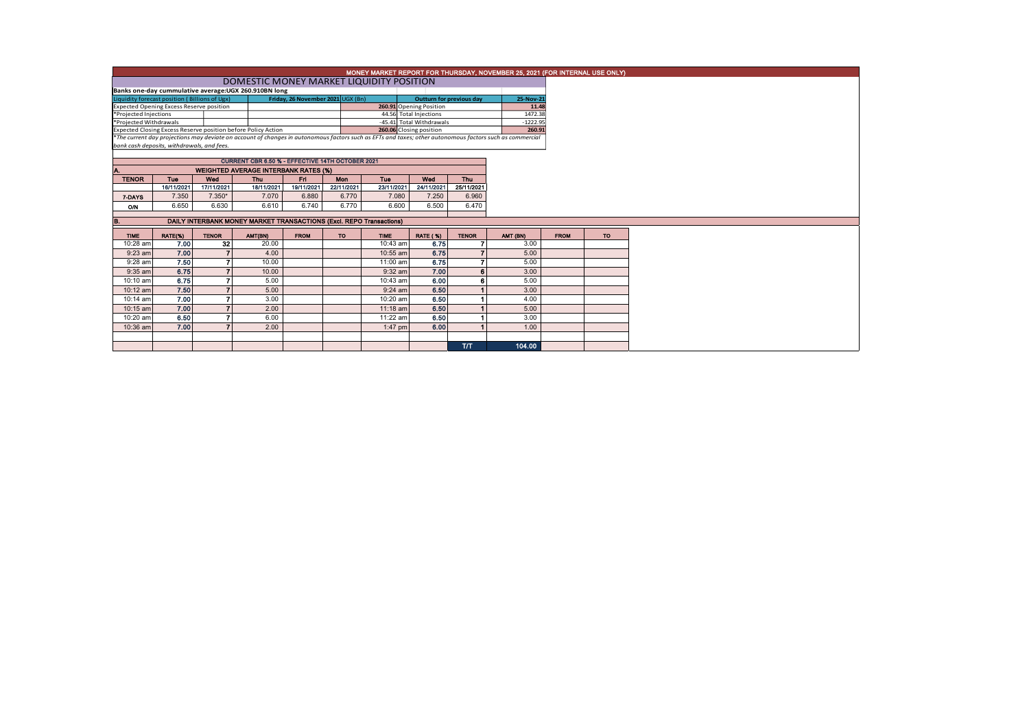|                                                                                                                                                                                              | MONEY MARKET REPORT FOR THURSDAY, NOVEMBER 25, 2021 (FOR INTERNAL USE ONLY)<br>DOMESTIC MONEY MARKET LIQUIDITY POSITION |              |                                                         |             |            |                         |                          |                      |                                                                                                                                                          |             |           |  |  |
|----------------------------------------------------------------------------------------------------------------------------------------------------------------------------------------------|-------------------------------------------------------------------------------------------------------------------------|--------------|---------------------------------------------------------|-------------|------------|-------------------------|--------------------------|----------------------|----------------------------------------------------------------------------------------------------------------------------------------------------------|-------------|-----------|--|--|
|                                                                                                                                                                                              |                                                                                                                         |              |                                                         |             |            |                         |                          |                      |                                                                                                                                                          |             |           |  |  |
|                                                                                                                                                                                              | Banks one-day cummulative average:UGX 260.910BN long                                                                    | 25-Nov-21    |                                                         |             |            |                         |                          |                      |                                                                                                                                                          |             |           |  |  |
| Friday, 26 November 2021 UGX (Bn)<br>Liquidity forecast position (Billions of Ugx)<br>Outturn for previous day<br><b>Expected Opening Excess Reserve position</b><br>260.91 Opening Position |                                                                                                                         |              |                                                         |             |            |                         |                          |                      |                                                                                                                                                          |             |           |  |  |
|                                                                                                                                                                                              |                                                                                                                         |              |                                                         |             |            |                         |                          | 11.48                |                                                                                                                                                          |             |           |  |  |
| *Projected Injections                                                                                                                                                                        |                                                                                                                         |              |                                                         |             |            |                         | 44.56 Total Injections   | 1472.38              |                                                                                                                                                          |             |           |  |  |
| *Projected Withdrawals<br>Expected Closing Excess Reserve position before Policy Action                                                                                                      |                                                                                                                         |              |                                                         |             |            | 260.06 Closing position | -45.41 Total Withdrawals | $-1222.95$<br>260.91 |                                                                                                                                                          |             |           |  |  |
|                                                                                                                                                                                              |                                                                                                                         |              |                                                         |             |            |                         |                          |                      | *The current day projections may deviate on account of changes in autonomous factors such as EFTs and taxes; other autonomous factors such as commercial |             |           |  |  |
|                                                                                                                                                                                              | bank cash deposits, withdrawals, and fees,                                                                              |              |                                                         |             |            |                         |                          |                      |                                                                                                                                                          |             |           |  |  |
|                                                                                                                                                                                              |                                                                                                                         |              |                                                         |             |            |                         |                          |                      |                                                                                                                                                          |             |           |  |  |
|                                                                                                                                                                                              |                                                                                                                         |              | <b>CURRENT CBR 6.50 % - EFFECTIVE 14TH OCTOBER 2021</b> |             |            |                         |                          |                      |                                                                                                                                                          |             |           |  |  |
|                                                                                                                                                                                              |                                                                                                                         |              | <b>WEIGHTED AVERAGE INTERBANK RATES (%)</b>             |             |            |                         |                          |                      |                                                                                                                                                          |             |           |  |  |
| <b>TENOR</b>                                                                                                                                                                                 | <b>Tuo</b>                                                                                                              | Wed          | Thu                                                     | Fri         | <b>Mon</b> | <b>Tuo</b>              | Wed                      | <b>Thu</b>           |                                                                                                                                                          |             |           |  |  |
|                                                                                                                                                                                              | 16/11/2021                                                                                                              | 17/11/2021   | 18/11/2021                                              | 19/11/2021  | 22/11/2021 | 23/11/2021              | 24/11/2021               | 25/11/2021           |                                                                                                                                                          |             |           |  |  |
| 7-DAYS                                                                                                                                                                                       | 7.350                                                                                                                   | $7.350*$     | 7.070                                                   | 6.880       | 6.770      | 7.080                   | 7.250                    | 6.960                |                                                                                                                                                          |             |           |  |  |
| O/N                                                                                                                                                                                          | 6.650                                                                                                                   | 6.630        | 6.610                                                   | 6.740       | 6.770      | 6.600                   | 6.500                    | 6.470                |                                                                                                                                                          |             |           |  |  |
|                                                                                                                                                                                              |                                                                                                                         |              |                                                         |             |            |                         |                          |                      |                                                                                                                                                          |             |           |  |  |
| DAILY INTERBANK MONEY MARKET TRANSACTIONS (Excl. REPO Transactions)<br>в.                                                                                                                    |                                                                                                                         |              |                                                         |             |            |                         |                          |                      |                                                                                                                                                          |             |           |  |  |
|                                                                                                                                                                                              |                                                                                                                         |              |                                                         |             |            |                         |                          |                      |                                                                                                                                                          |             |           |  |  |
|                                                                                                                                                                                              |                                                                                                                         |              |                                                         |             |            |                         |                          |                      |                                                                                                                                                          |             |           |  |  |
| <b>TIME</b>                                                                                                                                                                                  | RATE(%)                                                                                                                 | <b>TENOR</b> | AMT(BN)                                                 | <b>FROM</b> | <b>TO</b>  | <b>TIME</b>             | <b>RATE (%)</b>          | <b>TENOR</b>         | AMT (BN)                                                                                                                                                 | <b>FROM</b> | <b>TO</b> |  |  |
| 10:28 am                                                                                                                                                                                     | 7.00                                                                                                                    | 32           | 20.00                                                   |             |            | 10:43 am                | 6.75                     |                      | 3.00                                                                                                                                                     |             |           |  |  |
| $9:23$ am                                                                                                                                                                                    | 7.00                                                                                                                    |              | 4.00                                                    |             |            | 10:55 am                | 6.75                     |                      | 5.00                                                                                                                                                     |             |           |  |  |
| $9:28$ am                                                                                                                                                                                    | 7.50                                                                                                                    |              | 10.00                                                   |             |            | 11:00 am                | 6.75                     |                      | 5.00                                                                                                                                                     |             |           |  |  |
| $9:35$ am                                                                                                                                                                                    | 6.75                                                                                                                    |              | 10.00                                                   |             |            | $9:32$ am               | 7.00                     |                      | 3.00                                                                                                                                                     |             |           |  |  |
| 10:10 am                                                                                                                                                                                     | 6.75                                                                                                                    |              | 5.00                                                    |             |            | 10:43 am                | 6.00                     |                      | 5.00                                                                                                                                                     |             |           |  |  |
| 10:12 am                                                                                                                                                                                     | 7.50                                                                                                                    |              | 5.00                                                    |             |            | $9:24$ am               | 6.50                     |                      | 3.00                                                                                                                                                     |             |           |  |  |
| 10:14 am                                                                                                                                                                                     | 7.00                                                                                                                    |              | 3.00                                                    |             |            | 10:20 am                | 6.50                     |                      | 4.00                                                                                                                                                     |             |           |  |  |
| 10:15 am                                                                                                                                                                                     | 7.00                                                                                                                    |              | 2.00                                                    |             |            | $11:18$ am              | 6.50                     |                      | 5.00                                                                                                                                                     |             |           |  |  |
| 10:20 am                                                                                                                                                                                     | 6.50                                                                                                                    |              | 6.00                                                    |             |            | 11:22 am                | 6.50                     |                      | 3.00                                                                                                                                                     |             |           |  |  |
| 10:36 am                                                                                                                                                                                     | 7.00                                                                                                                    |              | 2.00                                                    |             |            | 1:47 pm                 | 6.00                     |                      | 1.00                                                                                                                                                     |             |           |  |  |
|                                                                                                                                                                                              |                                                                                                                         |              |                                                         |             |            |                         |                          |                      |                                                                                                                                                          |             |           |  |  |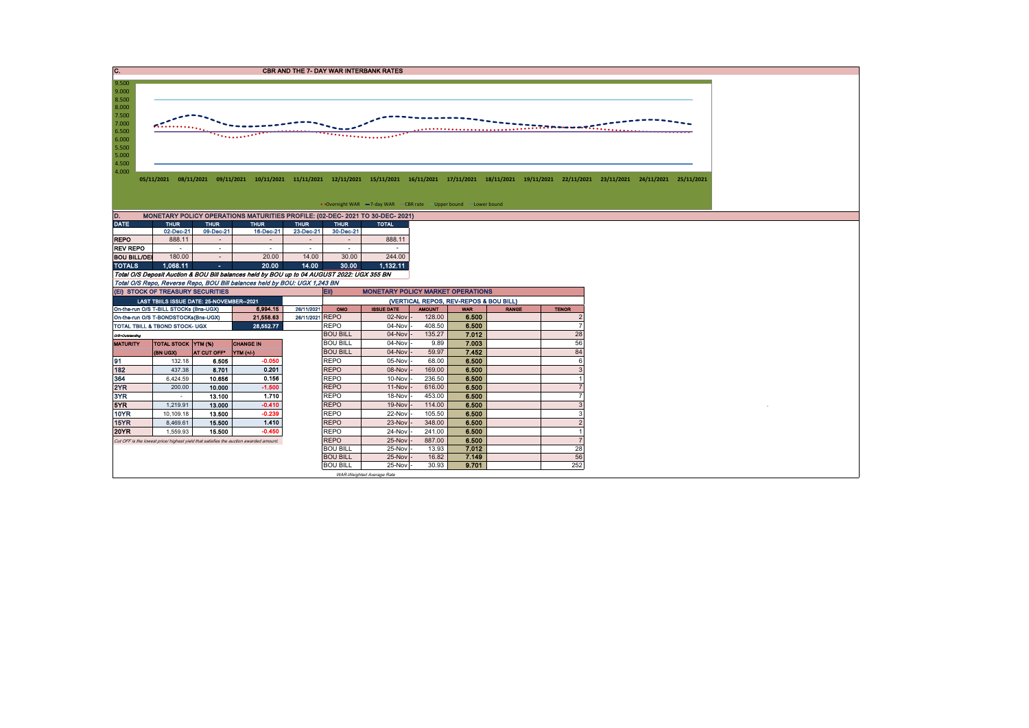| C.                                                                                                                                                                                                                                                                                                                                                                                                                         |                                                                        |                 |                                                                                            |                 |                                        |                                          |                  |                |              |                                |  |  |  |  |  |  |
|----------------------------------------------------------------------------------------------------------------------------------------------------------------------------------------------------------------------------------------------------------------------------------------------------------------------------------------------------------------------------------------------------------------------------|------------------------------------------------------------------------|-----------------|--------------------------------------------------------------------------------------------|-----------------|----------------------------------------|------------------------------------------|------------------|----------------|--------------|--------------------------------|--|--|--|--|--|--|
| <b>CBR AND THE 7- DAY WAR INTERBANK RATES</b><br>9.500<br>9.000<br>8.500<br>8.000<br>7.500<br>7.000<br>.<br>6.500<br>the colored<br>6.000<br>5.500<br>5.000<br>4.500<br>4.000<br>05/11/2021 08/11/2021 09/11/2021 10/11/2021 11/11/2021 12/11/2021 15/11/2021 16/11/2021 17/11/2021 18/11/2021 19/11/2021 22/11/2021 23/11/2021 24/11/2021 25/11/2021<br>• Overnight WAR -7-day WAR - CBR rate - Upper bound - Lower bound |                                                                        |                 |                                                                                            |                 |                                        |                                          |                  |                |              |                                |  |  |  |  |  |  |
| D.                                                                                                                                                                                                                                                                                                                                                                                                                         |                                                                        |                 | MONETARY POLICY OPERATIONS MATURITIES PROFILE: (02-DEC- 2021 TO 30-DEC- 2021)              |                 |                                        |                                          |                  |                |              |                                |  |  |  |  |  |  |
| <b>DATE</b>                                                                                                                                                                                                                                                                                                                                                                                                                | <b>THUR</b>                                                            | <b>THUR</b>     | <b>THUR</b>                                                                                | <b>THUR</b>     | <b>THUR</b>                            | <b>TOTAL</b>                             |                  |                |              |                                |  |  |  |  |  |  |
|                                                                                                                                                                                                                                                                                                                                                                                                                            | 02-Dec-21                                                              | 09-Dec-21       | 16-Dec-21                                                                                  | 23-Dec-21       | 30-Dec-21                              |                                          |                  |                |              |                                |  |  |  |  |  |  |
| <b>REPO</b>                                                                                                                                                                                                                                                                                                                                                                                                                | 888.11                                                                 | $\sim$          | ÷.                                                                                         | $\sim$          | $\sim$                                 | 888.11                                   |                  |                |              |                                |  |  |  |  |  |  |
| <b>REV REPO</b>                                                                                                                                                                                                                                                                                                                                                                                                            |                                                                        | $\sim$          | $\sim$                                                                                     | $\sim$          | $\sim$                                 |                                          |                  |                |              |                                |  |  |  |  |  |  |
| <b>BOU BILL/DEI</b>                                                                                                                                                                                                                                                                                                                                                                                                        | 180.00                                                                 | $\sim$          | 20.00                                                                                      | 14.00           | 30.00                                  | 244.00                                   |                  |                |              |                                |  |  |  |  |  |  |
| <b>TOTALS</b>                                                                                                                                                                                                                                                                                                                                                                                                              | 1,068.11                                                               | $\Delta \sim 1$ | 20.00                                                                                      | 14.00           | 30.00                                  | 1,132.11                                 |                  |                |              |                                |  |  |  |  |  |  |
|                                                                                                                                                                                                                                                                                                                                                                                                                            |                                                                        |                 | Total O/S Deposit Auction & BOU Bill balances held by BOU up to 04 AUGUST 2022: UGX 355 BN |                 |                                        |                                          |                  |                |              |                                |  |  |  |  |  |  |
|                                                                                                                                                                                                                                                                                                                                                                                                                            |                                                                        |                 | Total O/S Repo, Reverse Repo, BOU Bill balances held by BOU: UGX 1,243 BN                  |                 |                                        |                                          |                  |                |              |                                |  |  |  |  |  |  |
|                                                                                                                                                                                                                                                                                                                                                                                                                            | (EI) STOCK OF TREASURY SECURITIES                                      |                 |                                                                                            |                 | EII                                    | <b>MONETARY POLICY MARKET OPERATIONS</b> |                  |                |              |                                |  |  |  |  |  |  |
|                                                                                                                                                                                                                                                                                                                                                                                                                            | LAST TBIILS ISSUE DATE: 25-NOVEMBER--2021                              |                 |                                                                                            |                 | (VERTICAL REPOS, REV-REPOS & BOU BILL) |                                          |                  |                |              |                                |  |  |  |  |  |  |
|                                                                                                                                                                                                                                                                                                                                                                                                                            | On-the-run O/S T-BILL STOCKs (Bns-UGX)                                 |                 | 6,994.15                                                                                   | 26/11/2021      | OMO                                    | <b>ISSUE DATE</b>                        | <b>AMOUNT</b>    | <b>WAR</b>     | <b>RANGE</b> | <b>TENOR</b><br>$\overline{2}$ |  |  |  |  |  |  |
|                                                                                                                                                                                                                                                                                                                                                                                                                            | On-the-run O/S T-BONDSTOCKs(Bns-UGX)<br>TOTAL TBILL & TBOND STOCK- UGX |                 | 21,558.63<br>28,552.77                                                                     | 26/11/2021 REPO | <b>REPO</b>                            | 02-Nov<br>04-Nov                         | 128.00<br>408.50 | 6.500<br>6.500 |              | $\overline{7}$                 |  |  |  |  |  |  |
|                                                                                                                                                                                                                                                                                                                                                                                                                            |                                                                        |                 |                                                                                            |                 | <b>BOU BILL</b>                        | 04-Nov                                   | 135.27           | 7.012          |              | 28                             |  |  |  |  |  |  |
| O/S-Outstanding<br><b>MATURITY</b>                                                                                                                                                                                                                                                                                                                                                                                         | <b>TOTAL STOCK YTM (%)</b>                                             |                 | <b>CHANGE IN</b>                                                                           |                 | <b>BOU BILL</b>                        | 04-Nov                                   | 9.89             | 7.003          |              | 56                             |  |  |  |  |  |  |
|                                                                                                                                                                                                                                                                                                                                                                                                                            | (BN UGX)                                                               | AT CUT OFF*     | $NTM (+/4)$                                                                                |                 | <b>BOU BILL</b>                        | 04-Nov                                   | 59.97            | 7.452          |              | 84                             |  |  |  |  |  |  |
| 91                                                                                                                                                                                                                                                                                                                                                                                                                         | 132.18                                                                 | 6.505           | $-0.050$                                                                                   |                 | <b>REPO</b>                            | 05-Nov                                   | 68.00            | 6.500          |              | 6                              |  |  |  |  |  |  |
| 182                                                                                                                                                                                                                                                                                                                                                                                                                        | 437.38                                                                 | 8.701           | 0.201                                                                                      |                 | <b>REPO</b>                            | 08-Nov                                   | 169.00           | 6.500          |              | 3                              |  |  |  |  |  |  |
| 364                                                                                                                                                                                                                                                                                                                                                                                                                        | 6,424.59                                                               | 10.656          | 0.156                                                                                      |                 | <b>REPO</b>                            | 10-Nov                                   | 236.50           | 6.500          |              |                                |  |  |  |  |  |  |
| 2YR                                                                                                                                                                                                                                                                                                                                                                                                                        | 200.00                                                                 | 10.000          | $-1.500$                                                                                   |                 | <b>REPO</b>                            | $11-Nov$                                 | 616.00           | 6,500          |              |                                |  |  |  |  |  |  |
| 3YR                                                                                                                                                                                                                                                                                                                                                                                                                        | $\sim$                                                                 | 13.100          | 1.710                                                                                      |                 | <b>REPO</b>                            | 18-Nov                                   | 453.00           | 6.500          |              | $\overline{7}$                 |  |  |  |  |  |  |
| 5YR                                                                                                                                                                                                                                                                                                                                                                                                                        | 1,219.91                                                               | 13.000          | $-0.410$                                                                                   |                 | <b>REPO</b>                            | 19-Nov                                   | 114.00           | 6.500          |              | 3                              |  |  |  |  |  |  |
| 10YR                                                                                                                                                                                                                                                                                                                                                                                                                       | 10,109.18                                                              | 13.500          | $-0.239$                                                                                   |                 | <b>REPO</b>                            | 22-Nov                                   | 105.50           | 6.500          |              | 3                              |  |  |  |  |  |  |
| 15YR                                                                                                                                                                                                                                                                                                                                                                                                                       | 8,469.61                                                               | 15,500          | 1.410                                                                                      |                 | <b>REPO</b>                            | 23-Nov                                   | 348.00           | 6.500          |              | $\overline{2}$                 |  |  |  |  |  |  |
| <b>20YR</b>                                                                                                                                                                                                                                                                                                                                                                                                                | 1,559.93                                                               | 15.500          | $-0.450$                                                                                   |                 | <b>REPO</b>                            | 24-Nov                                   | 241.00           | 6.500          |              | $\overline{1}$                 |  |  |  |  |  |  |
|                                                                                                                                                                                                                                                                                                                                                                                                                            |                                                                        |                 | Cut OFF is the lowest price/ highest yield that satisfies the auction awarded amount.      |                 | <b>REPO</b>                            | 25-Nov                                   | 887.00           | 6.500          |              | $\overline{7}$                 |  |  |  |  |  |  |
|                                                                                                                                                                                                                                                                                                                                                                                                                            |                                                                        |                 |                                                                                            |                 | <b>BOU BILL</b>                        | 25-Nov                                   | 13.93            | 7.012          |              | 28                             |  |  |  |  |  |  |
|                                                                                                                                                                                                                                                                                                                                                                                                                            |                                                                        |                 |                                                                                            |                 | <b>BOU BILL</b>                        | 25-Nov                                   | 16.82            | 7.149          |              | 56                             |  |  |  |  |  |  |
|                                                                                                                                                                                                                                                                                                                                                                                                                            |                                                                        |                 |                                                                                            |                 | <b>BOU BILL</b>                        | 25-Nov                                   | 30.93            | 9.701          |              | 252                            |  |  |  |  |  |  |
|                                                                                                                                                                                                                                                                                                                                                                                                                            |                                                                        |                 |                                                                                            |                 |                                        | WAR-Weighted Average Rate                |                  |                |              |                                |  |  |  |  |  |  |